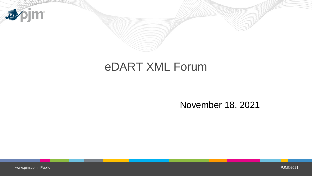

## eDART XML Forum

#### November 18, 2021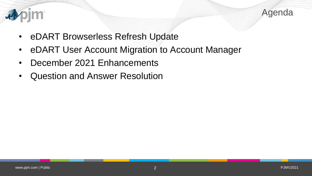



- eDART Browserless Refresh Update
- eDART User Account Migration to Account Manager
- December 2021 Enhancements
- Question and Answer Resolution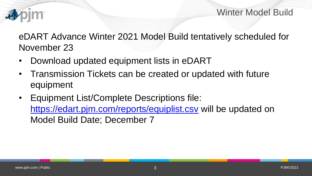

Winter Model Build

eDART Advance Winter 2021 Model Build tentatively scheduled for November 23

- Download updated equipment lists in eDART
- Transmission Tickets can be created or updated with future equipment
- Equipment List/Complete Descriptions file: <https://edart.pjm.com/reports/equiplist.csv> will be updated on Model Build Date; December 7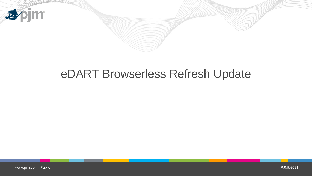

# eDART Browserless Refresh Update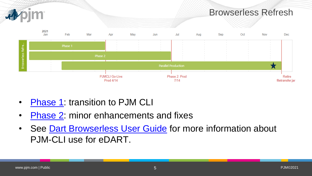

- [Phase 1](https://pjm.com/-/media/committees-groups/forums/edart/edartxml/2021/20210315/20210315-xml-forum-presentation.ashx): transition to PJM CLI
- [Phase 2](https://www.pjm.com/-/media/committees-groups/forums/edart/edartxml/2021/20210913/20210913-presentation.ashx): minor enhancements and fixes
- See [Dart Browserless User Guide](https://pjm.com/-/media/etools/edart/dart-browserless-user-guide.ashx) for more information about PJM-CLI use for eDART.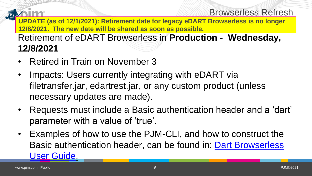#### Browserless Refresh

**UPDATE (as of 12/1/2021): Retirement date for legacy eDART Browserless is no longer 12/8/2021. The new date will be shared as soon as possible.** 

Retirement of eDART Browserless in **Production - Wednesday, 12/8/2021**

- Retired in Train on November 3
- Impacts: Users currently integrating with eDART via filetransfer.jar, edartrest.jar, or any custom product (unless necessary updates are made).
- Requests must include a Basic authentication header and a 'dart' parameter with a value of 'true'.
- Examples of how to use the PJM-CLI, and how to construct the [Basic authentication header, can be found in: Dart Browserless](https://pjm.com/-/media/etools/edart/dart-browserless-user-guide.ashx)  User Guide.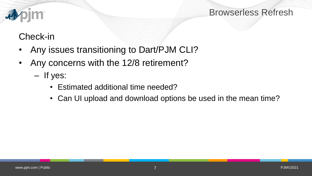

#### Browserless Refresh

### Check-in

- Any issues transitioning to Dart/PJM CLI?
- Any concerns with the 12/8 retirement?
	- If yes:
		- Estimated additional time needed?
		- Can UI upload and download options be used in the mean time?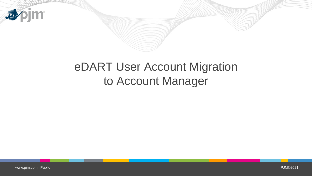

# eDART User Account Migration to Account Manager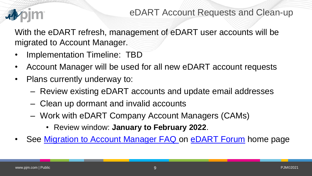

With the eDART refresh, management of eDART user accounts will be migrated to Account Manager.

- Implementation Timeline: TBD
- Account Manager will be used for all new eDART account requests
- Plans currently underway to:
	- Review existing eDART accounts and update email addresses
	- Clean up dormant and invalid accounts
	- Work with eDART Company Account Managers (CAMs)
		- Review window: **January to February 2022**.
- See [Migration to Account Manager FAQ o](https://pjm.com/-/media/committees-groups/forums/edart/postings/migration-to-account-manager-faq.ashx)n [eDART Forum](https://pjm.com/committees-and-groups/forums/edart-forum) home page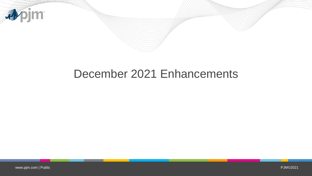

### December 2021 Enhancements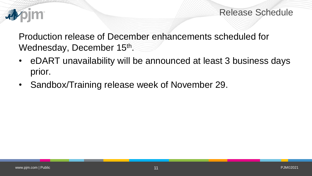

Release Schedule

Production release of December enhancements scheduled for Wednesday, December 15<sup>th</sup>.

- eDART unavailability will be announced at least 3 business days prior.
- Sandbox/Training release week of November 29.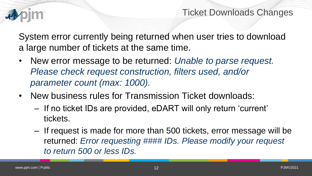

Ticket Downloads Changes

System error currently being returned when user tries to download a large number of tickets at the same time.

- New error message to be returned: *Unable to parse request. Please check request construction, filters used, and/or parameter count (max: 1000).*
- New business rules for Transmission Ticket downloads:
	- If no ticket IDs are provided, eDART will only return 'current' tickets.
	- If request is made for more than 500 tickets, error message will be returned: *Error requesting #### IDs. Please modify your request to return 500 or less IDs.*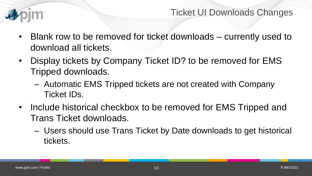

Ticket UI Downloads Changes

- Blank row to be removed for ticket downloads currently used to download all tickets.
- Display tickets by Company Ticket ID? to be removed for EMS Tripped downloads.
	- Automatic EMS Tripped tickets are not created with Company Ticket IDs.
- Include historical checkbox to be removed for EMS Tripped and Trans Ticket downloads.
	- Users should use Trans Ticket by Date downloads to get historical tickets.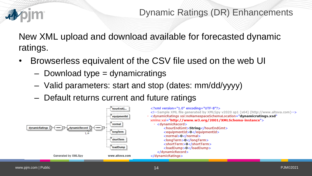

New XML upload and download available for forecasted dynamic ratings.

- Browserless equivalent of the CSV file used on the web UI
	- Download type = dynamicratings
	- Valid parameters: start and stop (dates: mm/dd/yyyy)
	- Default returns current and future ratings

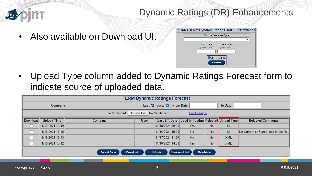

#### Dynamic Ratings (DR) Enhancements

• Also available on Download UI.

| <b>eDART TERM Dynamic Ratings XML File Download</b> |                                      |  |  |  |  |  |  |  |  |  |
|-----------------------------------------------------|--------------------------------------|--|--|--|--|--|--|--|--|--|
| <b>Choose Download Type</b>                         |                                      |  |  |  |  |  |  |  |  |  |
|                                                     |                                      |  |  |  |  |  |  |  |  |  |
|                                                     | <b>Start Date</b><br><b>End Date</b> |  |  |  |  |  |  |  |  |  |
|                                                     | (MM/DD/YYYY)<br>(MM/DD/YYYY)         |  |  |  |  |  |  |  |  |  |
|                                                     |                                      |  |  |  |  |  |  |  |  |  |
|                                                     | Save as a File?<br><b>Download</b>   |  |  |  |  |  |  |  |  |  |

• Upload Type column added to Dynamic Ratings Forecast form to indicate source of uploaded data.

| <b>TERM Dynamic Ratings Forecast</b>                              |                                                                                               |                                         |             |                  |                                                      |            |            |                                        |  |  |
|-------------------------------------------------------------------|-----------------------------------------------------------------------------------------------|-----------------------------------------|-------------|------------------|------------------------------------------------------|------------|------------|----------------------------------------|--|--|
| Company:                                                          |                                                                                               | Last 72 hours: 7 From Date:<br>To Date: |             |                  |                                                      |            |            |                                        |  |  |
| File to Upload: Choose File No file chosen<br><b>File Example</b> |                                                                                               |                                         |             |                  |                                                      |            |            |                                        |  |  |
| Download                                                          | <b>Upload Time</b>                                                                            | Company                                 | <b>User</b> |                  | Last Eff. Date  Used in Posting Rejected Upload Type |            |            | <b>Rejected Comments</b>               |  |  |
|                                                                   | 11/16/2021 16:49                                                                              |                                         |             | 11/18/2021 08:00 | Yes                                                  | <b>No</b>  | UI         |                                        |  |  |
|                                                                   | 11/16/2021 16:45                                                                              |                                         |             | 11/16/202115:00  | <b>No</b>                                            | <b>Yes</b> | UI         | No Current or Future data in the file. |  |  |
|                                                                   | 11/16/2021 16:43                                                                              |                                         |             | 11/17/2021 11:00 | <b>No</b>                                            | <b>No</b>  | <b>XML</b> |                                        |  |  |
|                                                                   | 11/16/2021 13:12                                                                              |                                         |             | 11/16/2021 14:00 | Yes                                                  | <b>No</b>  | <b>XML</b> |                                        |  |  |
|                                                                   | <b>Equipment List</b><br><b>Main Menu</b><br>Refresh<br><b>Submit Form</b><br><b>Download</b> |                                         |             |                  |                                                      |            |            |                                        |  |  |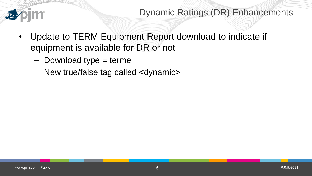

Dynamic Ratings (DR) Enhancements

- Update to TERM Equipment Report download to indicate if equipment is available for DR or not
	- $-$  Download type  $=$  terme
	- New true/false tag called <dynamic>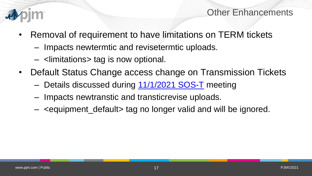

Other Enhancements

- Removal of requirement to have limitations on TERM tickets
	- Impacts newtermtic and revisetermtic uploads.
	- <limitations> tag is now optional.
- Default Status Change access change on Transmission Tickets
	- Details discussed during [11/1/2021 SOS-T](https://pjm.com/committees-and-groups/subcommittees/private-sys-op-trans) meeting
	- Impacts newtranstic and transticrevise uploads.
	- <equipment\_default> tag no longer valid and will be ignored.